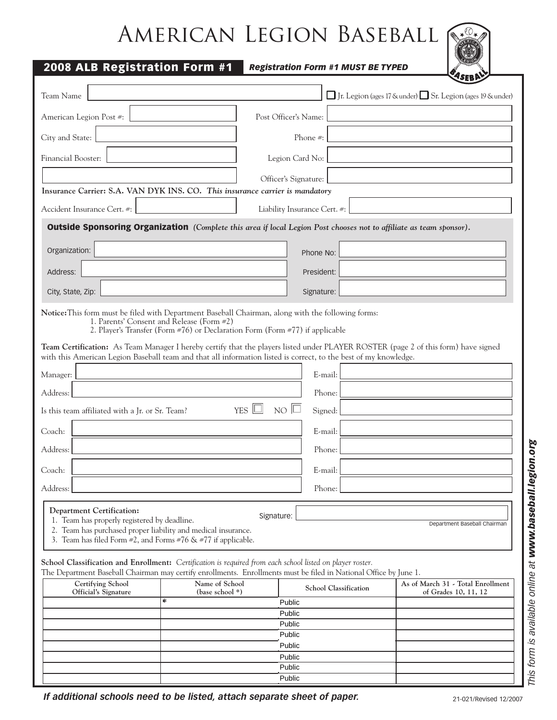## American Legion Baseball  $\sqrt{2}$

| 2008 ALB Registration Form #1                                                                                                                     |                                                                                                                                                                                                                                                                                                                                                                                     | <b>Registration Form #1 MUST BE TYPED</b> |                                                                         |
|---------------------------------------------------------------------------------------------------------------------------------------------------|-------------------------------------------------------------------------------------------------------------------------------------------------------------------------------------------------------------------------------------------------------------------------------------------------------------------------------------------------------------------------------------|-------------------------------------------|-------------------------------------------------------------------------|
| Team Name                                                                                                                                         |                                                                                                                                                                                                                                                                                                                                                                                     |                                           | $\Box$ Jr. Legion (ages 17 & under) $\Box$ Sr. Legion (ages 19 & under) |
| American Legion Post #:                                                                                                                           |                                                                                                                                                                                                                                                                                                                                                                                     | Post Officer's Name:                      |                                                                         |
| City and State:                                                                                                                                   |                                                                                                                                                                                                                                                                                                                                                                                     | Phone #:                                  |                                                                         |
| Financial Booster:                                                                                                                                |                                                                                                                                                                                                                                                                                                                                                                                     | Legion Card No:                           |                                                                         |
|                                                                                                                                                   |                                                                                                                                                                                                                                                                                                                                                                                     | Officer's Signature:                      |                                                                         |
|                                                                                                                                                   | Insurance Carrier: S.A. VAN DYK INS. CO. This insurance carrier is mandatory                                                                                                                                                                                                                                                                                                        |                                           |                                                                         |
| Accident Insurance Cert. #:                                                                                                                       |                                                                                                                                                                                                                                                                                                                                                                                     | Liability Insurance Cert. #:              |                                                                         |
|                                                                                                                                                   | <b>Outside Sponsoring Organization</b> (Complete this area if local Legion Post chooses not to affiliate as team sponsor).                                                                                                                                                                                                                                                          |                                           |                                                                         |
| Organization:                                                                                                                                     |                                                                                                                                                                                                                                                                                                                                                                                     | Phone No:                                 |                                                                         |
| Address:                                                                                                                                          |                                                                                                                                                                                                                                                                                                                                                                                     | President:                                |                                                                         |
| City, State, Zip:                                                                                                                                 |                                                                                                                                                                                                                                                                                                                                                                                     | Signature:                                |                                                                         |
|                                                                                                                                                   | 1. Parents' Consent and Release (Form #2)<br>2. Player's Transfer (Form #76) or Declaration Form (Form #77) if applicable<br>Team Certification: As Team Manager I hereby certify that the players listed under PLAYER ROSTER (page 2 of this form) have signed<br>with this American Legion Baseball team and that all information listed is correct, to the best of my knowledge. |                                           |                                                                         |
| Manager:                                                                                                                                          |                                                                                                                                                                                                                                                                                                                                                                                     | E-mail:                                   |                                                                         |
| Address:                                                                                                                                          |                                                                                                                                                                                                                                                                                                                                                                                     | Phone:                                    |                                                                         |
| Is this team affiliated with a Jr. or Sr. Team?                                                                                                   | YES $\Box$                                                                                                                                                                                                                                                                                                                                                                          | $N$ O<br>Signed:                          |                                                                         |
| Coach:                                                                                                                                            |                                                                                                                                                                                                                                                                                                                                                                                     | E-mail:                                   |                                                                         |
| Address:                                                                                                                                          |                                                                                                                                                                                                                                                                                                                                                                                     | Phone:                                    |                                                                         |
| Coach:                                                                                                                                            |                                                                                                                                                                                                                                                                                                                                                                                     | E-mail:                                   |                                                                         |
| Address:                                                                                                                                          |                                                                                                                                                                                                                                                                                                                                                                                     | Phone:                                    |                                                                         |
| <b>Department Certification:</b><br>1. Team has properly registered by deadline.<br>2. Team has purchased proper liability and medical insurance. | Signature:<br>3. Team has filed Form $\#2$ , and Forms $\#76 \& \#77$ if applicable.                                                                                                                                                                                                                                                                                                |                                           | Department Baseball Chairman                                            |
|                                                                                                                                                   | School Classification and Enrollment: Certification is required from each school listed on player roster.<br>The Department Baseball Chairman may certify enrollments. Enrollments must be filed in National Office by June 1.                                                                                                                                                      |                                           |                                                                         |
| Certifying School<br>Official's Signature                                                                                                         | Name of School<br>(base school *)                                                                                                                                                                                                                                                                                                                                                   | <b>School Classification</b>              | As of March 31 - Total Enrollment<br>of Grades 10, 11, 12               |
|                                                                                                                                                   | ∗                                                                                                                                                                                                                                                                                                                                                                                   | Public<br>Public                          |                                                                         |
|                                                                                                                                                   |                                                                                                                                                                                                                                                                                                                                                                                     | Public                                    |                                                                         |
|                                                                                                                                                   |                                                                                                                                                                                                                                                                                                                                                                                     | Public<br>Public                          |                                                                         |
|                                                                                                                                                   | Public                                                                                                                                                                                                                                                                                                                                                                              |                                           |                                                                         |

Public **Public** 

*If additional schools need to be listed, attach separate sheet of paper.*